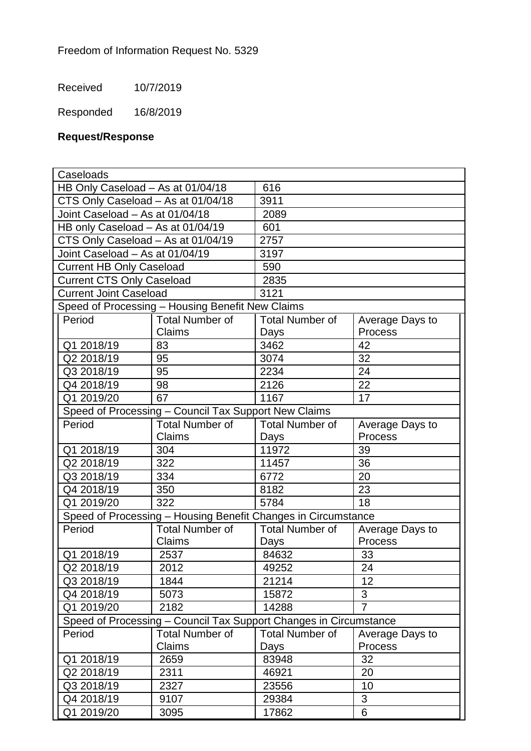Received 10/7/2019

Responded 16/8/2019

## **Request/Response**

| Caseloads                                                         |                        |                        |                 |  |
|-------------------------------------------------------------------|------------------------|------------------------|-----------------|--|
| HB Only Caseload - As at 01/04/18                                 |                        | 616                    |                 |  |
| CTS Only Caseload - As at 01/04/18                                |                        | 3911                   |                 |  |
| Joint Caseload - As at 01/04/18                                   |                        | 2089                   |                 |  |
| HB only Caseload - As at 01/04/19                                 |                        | 601                    |                 |  |
| CTS Only Caseload - As at 01/04/19                                |                        | 2757                   |                 |  |
| Joint Caseload - As at 01/04/19                                   |                        | 3197                   |                 |  |
| <b>Current HB Only Caseload</b>                                   |                        | 590                    |                 |  |
| <b>Current CTS Only Caseload</b>                                  |                        | 2835                   |                 |  |
| <b>Current Joint Caseload</b>                                     |                        | 3121                   |                 |  |
| Speed of Processing - Housing Benefit New Claims                  |                        |                        |                 |  |
| Period                                                            | <b>Total Number of</b> | <b>Total Number of</b> | Average Days to |  |
|                                                                   | Claims                 | Days                   | <b>Process</b>  |  |
| Q1 2018/19                                                        | 83                     | 3462                   | 42              |  |
| Q2 2018/19                                                        | 95                     | 3074                   | 32              |  |
| Q3 2018/19                                                        | 95                     | 2234                   | 24              |  |
| Q4 2018/19                                                        | 98                     | 2126                   | 22              |  |
| Q1 2019/20                                                        | 67                     | 1167                   | 17              |  |
| Speed of Processing - Council Tax Support New Claims              |                        |                        |                 |  |
| Period                                                            | <b>Total Number of</b> | <b>Total Number of</b> | Average Days to |  |
|                                                                   | Claims                 | Days                   | <b>Process</b>  |  |
| Q1 2018/19                                                        | 304                    | 11972                  | 39              |  |
| Q2 2018/19                                                        | 322                    | 11457                  | 36              |  |
| Q3 2018/19                                                        | 334                    | 6772                   | 20              |  |
| Q4 2018/19                                                        | 350                    | 8182                   | 23              |  |
| Q1 2019/20                                                        | 322                    | 5784                   | 18              |  |
| Speed of Processing - Housing Benefit Changes in Circumstance     |                        |                        |                 |  |
| Period                                                            | <b>Total Number of</b> | <b>Total Number of</b> | Average Days to |  |
|                                                                   | Claims                 | Days                   | Process         |  |
| Q1 2018/19                                                        | 2537                   | 84632                  | 33              |  |
| Q2 2018/19                                                        | 2012                   | 49252                  | 24              |  |
| Q3 2018/19                                                        | 1844                   | 21214                  | 12              |  |
| Q4 2018/19                                                        | 5073                   | 15872                  | 3               |  |
| Q1 2019/20                                                        | 2182                   | 14288                  | $\overline{7}$  |  |
| Speed of Processing - Council Tax Support Changes in Circumstance |                        |                        |                 |  |
| Period                                                            | <b>Total Number of</b> | <b>Total Number of</b> | Average Days to |  |
|                                                                   | Claims                 | Days                   | <b>Process</b>  |  |
| Q1 2018/19                                                        | 2659                   | 83948                  | 32              |  |
| Q2 2018/19                                                        | 2311                   | 46921                  | 20              |  |
| Q3 2018/19                                                        | 2327                   | 23556                  | 10              |  |
| Q4 2018/19                                                        | 9107                   | 29384                  | 3               |  |
| Q1 2019/20                                                        | 3095                   | 17862                  | 6               |  |